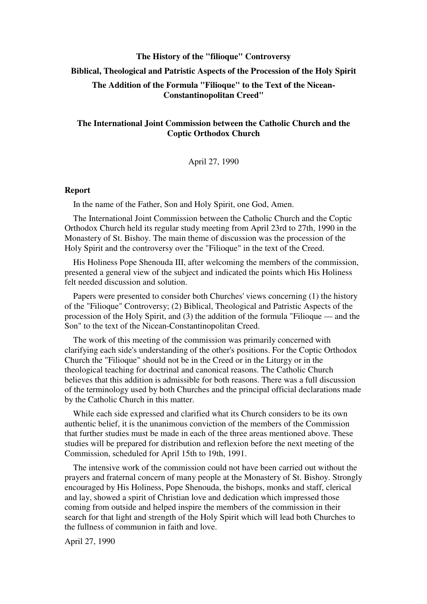# **The History of the "filioque" Controversy Biblical, Theological and Patristic Aspects of the Procession of the Holy Spirit The Addition of the Formula "Filioque" to the Text of the Nicean-Constantinopolitan Creed"**

# **The International Joint Commission between the Catholic Church and the Coptic Orthodox Church**

April 27, 1990

#### **Report**

In the name of the Father, Son and Holy Spirit, one God, Amen.

 The International Joint Commission between the Catholic Church and the Coptic Orthodox Church held its regular study meeting from April 23rd to 27th, 1990 in the Monastery of St. Bishoy. The main theme of discussion was the procession of the Holy Spirit and the controversy over the "Filioque" in the text of the Creed.

 His Holiness Pope Shenouda III, after welcoming the members of the commission, presented a general view of the subject and indicated the points which His Holiness felt needed discussion and solution.

 Papers were presented to consider both Churches' views concerning (1) the history of the "Filioque" Controversy; (2) Biblical, Theological and Patristic Aspects of the procession of the Holy Spirit, and (3) the addition of the formula "Filioque — and the Son" to the text of the Nicean-Constantinopolitan Creed.

 The work of this meeting of the commission was primarily concerned with clarifying each side's understanding of the other's positions. For the Coptic Orthodox Church the "Filioque" should not be in the Creed or in the Liturgy or in the theological teaching for doctrinal and canonical reasons. The Catholic Church believes that this addition is admissible for both reasons. There was a full discussion of the terminology used by both Churches and the principal official declarations made by the Catholic Church in this matter.

 While each side expressed and clarified what its Church considers to be its own authentic belief, it is the unanimous conviction of the members of the Commission that further studies must be made in each of the three areas mentioned above. These studies will be prepared for distribution and reflexion before the next meeting of the Commission, scheduled for April 15th to 19th, 1991.

 The intensive work of the commission could not have been carried out without the prayers and fraternal concern of many people at the Monastery of St. Bishoy. Strongly encouraged by His Holiness, Pope Shenouda, the bishops, monks and staff, clerical and lay, showed a spirit of Christian love and dedication which impressed those coming from outside and helped inspire the members of the commission in their search for that light and strength of the Holy Spirit which will lead both Churches to the fullness of communion in faith and love.

April 27, 1990